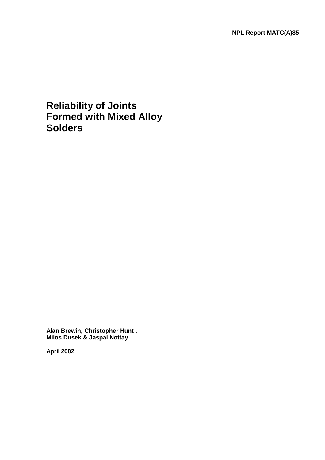# **Reliability of Joints Formed with Mixed Alloy Solders**

**Alan Brewin, Christopher Hunt . Milos Dusek & Jaspal Nottay** 

**April 2002**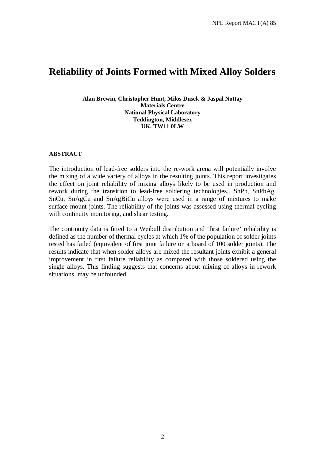# **Reliability of Joints Formed with Mixed Alloy Solders**

#### **Alan Brewin, Christopher Hunt, Milos Dusek & Jaspal Nottay Materials Centre National Physical Laboratory Teddington, Middlesex UK. TW11 0LW**

### **ABSTRACT**

The introduction of lead-free solders into the re-work arena will potentially involve the mixing of a wide variety of alloys in the resulting joints. This report investigates the effect on joint reliability of mixing alloys likely to be used in production and rework during the transition to lead-free soldering technologies.. SnPb, SnPbAg, SnCu, SnAgCu and SnAgBiCu alloys were used in a range of mixtures to make surface mount joints. The reliability of the joints was assessed using thermal cycling with continuity monitoring, and shear testing.

The continuity data is fitted to a Weibull distribution and 'first failure' reliability is defined as the number of thermal cycles at which 1% of the population of solder joints tested has failed (equivalent of first joint failure on a board of 100 solder joints). The results indicate that when solder alloys are mixed the resultant joints exhibit a general improvement in first failure reliability as compared with those soldered using the single alloys. This finding suggests that concerns about mixing of alloys in rework situations, may be unfounded.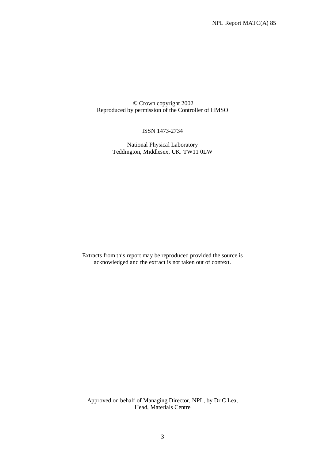© Crown copyright 2002 Reproduced by permission of the Controller of HMSO

#### ISSN 1473-2734

National Physical Laboratory Teddington, Middlesex, UK. TW11 0LW

Extracts from this report may be reproduced provided the source is acknowledged and the extract is not taken out of context.

Approved on behalf of Managing Director, NPL, by Dr C Lea, Head, Materials Centre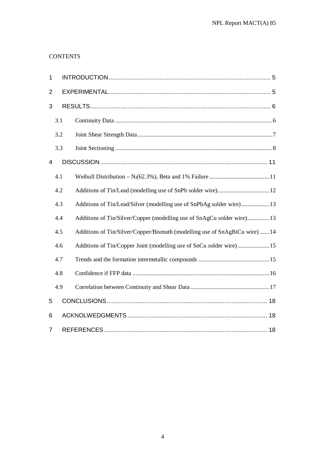# **CONTENTS**

| $\mathbf{1}$   |     |                                                                             |
|----------------|-----|-----------------------------------------------------------------------------|
| $\overline{2}$ |     |                                                                             |
| 3              |     |                                                                             |
|                | 3.1 |                                                                             |
|                | 3.2 |                                                                             |
|                | 3.3 |                                                                             |
| 4              |     |                                                                             |
|                | 4.1 |                                                                             |
|                | 4.2 |                                                                             |
|                | 4.3 | Additions of Tin/Lead/Silver (modelling use of SnPbAg solder wire)13        |
|                | 4.4 | Additions of Tin/Silver/Copper (modelling use of SnAgCu solder wire)13      |
|                | 4.5 | Additions of Tin/Silver/Copper/Bismuth (modelling use of SnAgBiCu wire)  14 |
|                | 4.6 | Additions of Tin/Copper Joint (modelling use of SnCu solder wire)  15       |
|                | 4.7 |                                                                             |
|                | 4.8 |                                                                             |
|                | 4.9 |                                                                             |
| 5              |     |                                                                             |
| 6              |     |                                                                             |
| $\overline{7}$ |     |                                                                             |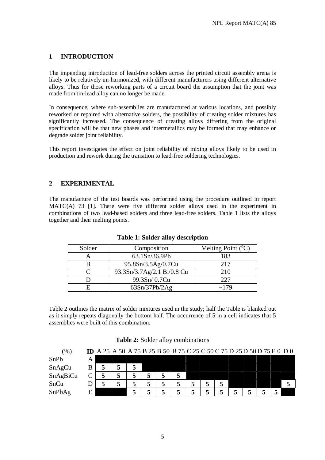# **1 INTRODUCTION**

The impending introduction of lead-free solders across the printed circuit assembly arena is likely to be relatively un-harmonized, with different manufacturers using different alternative alloys. Thus for those reworking parts of a circuit board the assumption that the joint was made from tin-lead alloy can no longer be made.

In consequence, where sub-assemblies are manufactured at various locations, and possibly reworked or repaired with alternative solders, the possibility of creating solder mixtures has significantly increased. The consequence of creating alloys differing from the original specification will be that new phases and intermetallics may be formed that may enhance or degrade solder joint reliability.

This report investigates the effect on joint reliability of mixing alloys likely to be used in production and rework during the transition to lead-free soldering technologies.

## **2 EXPERIMENTAL**

The manufacture of the test boards was performed using the procedure outlined in report MATC(A) 73 [1]. There were five different solder alloys used in the experiment in combinations of two lead-based solders and three lead-free solders. Table 1 lists the alloys together and their melting points.

| Solder | Composition                | Melting Point $({}^{\circ}C)$ |
|--------|----------------------------|-------------------------------|
|        | 63.1Sn/36.9Pb              | 183                           |
|        | 95.8Sn/3.5Ag/0.7Cu         | 217                           |
|        | 93.3Sn/3.7Ag/2.1 Bi/0.8 Cu | 210                           |
|        | 99.3Sn/0.7Cu               | 227                           |
|        | 63Sn/37Pb/2Ag              | ~179                          |

**Table 1: Solder alloy description** 

Table 2 outlines the matrix of solder mixtures used in the study; half the Table is blanked out as it simply repeats diagonally the bottom half. The occurrence of 5 in a cell indicates that 5 assemblies were built of this combination.

#### **Table 2:** Solder alloy combinations

| (%       | ID |   | A 25 A 50 A 75 B 25 B 50 B 75 C 25 C 50 C 75 D 25 D 50 D 75 E 0 D 0 |   |   |   |  |  |  |  |  |
|----------|----|---|---------------------------------------------------------------------|---|---|---|--|--|--|--|--|
| SnPb     | А  |   |                                                                     |   |   |   |  |  |  |  |  |
| SnAgCu   | B  | C |                                                                     |   |   |   |  |  |  |  |  |
| SnAgBiCu |    |   |                                                                     |   | Ⴢ | 5 |  |  |  |  |  |
| SnCu     |    |   |                                                                     | ┍ |   |   |  |  |  |  |  |
| SnPbAg   | Ε  |   |                                                                     |   |   |   |  |  |  |  |  |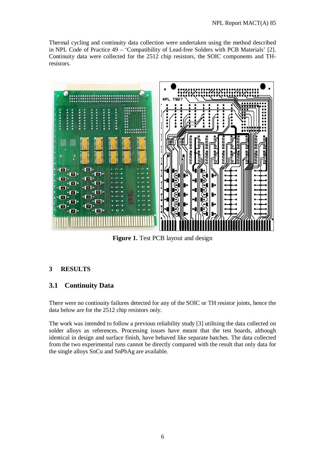Thermal cycling and continuity data collection were undertaken using the method described in NPL Code of Practice 49 – 'Compatibility of Lead-free Solders with PCB Materials' [2]. Continuity data were collected for the 2512 chip resistors, the SOIC components and THresistors.



**Figure 1.** Test PCB layout and design

# **3 RESULTS**

## **3.1 Continuity Data**

There were no continuity failures detected for any of the SOIC or TH resistor joints, hence the data below are for the 2512 chip resistors only.

The work was intended to follow a previous reliability study [3] utilising the data collected on solder alloys as references. Processing issues have meant that the test boards, although identical in design and surface finish, have behaved like separate batches. The data collected from the two experimental runs cannot be directly compared with the result that only data for the single alloys SnCu and SnPbAg are available.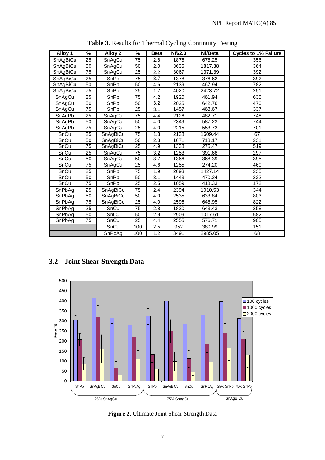| Alloy 1  | $\frac{9}{6}$   | Alloy 2  | %               | <b>Beta</b>      | Nf62.3 | Nf/Beta | <b>Cycles to 1% Faliure</b> |
|----------|-----------------|----------|-----------------|------------------|--------|---------|-----------------------------|
| SnAgBiCu | 25              | SnAgCu   | 75              | 2.8              | 1876   | 678.25  | 356                         |
| SnAgBiCu | 50              | SnAgCu   | 50              | 2.0              | 3635   | 1817.38 | 364                         |
| SnAgBiCu | 75              | SnAgCu   | 25              | $2.2\,$          | 3067   | 1371.39 | 392                         |
| SnAqBiCu | $\overline{25}$ | SnPb     | $\overline{75}$ | $\overline{3.7}$ | 1378   | 376.62  | 392                         |
| SnAgBiCu | 50              | SnPb     | 50              | 4.6              | 2139   | 467.94  | 782                         |
| SnAgBiCu | $\overline{75}$ | SnPb     | 25              | 1.7              | 4020   | 2423.72 | 251                         |
| SnAgCu   | 25              | SnPb     | 75              | 4.2              | 1920   | 461.94  | 635                         |
| SnAgCu   | 50              | SnPb     | 50              | 3.2              | 2025   | 642.76  | 470                         |
| SnAgCu   | 75              | SnPb     | 25              | 3.1              | 1457   | 463.67  | 337                         |
| SnAgPb   | 25              | SnAgCu   | 75              | 4.4              | 2126   | 482.71  | 748                         |
| SnAgPb   | 50              | SnAgCu   | 50              | 4.0              | 2349   | 587.23  | 744                         |
| SnAgPb   | 75              | SnAgCu   | 25              | 4.0              | 2215   | 553.73  | 701                         |
| SnCu     | 25              | SnAgBiCu | 75              | 1.3              | 2138   | 1609.44 | 67                          |
| SnCu     | 50              | SnAgBiCu | 50              | 2.3              | 1671   | 718.17  | 231                         |
| SnCu     | 75              | SnAgBiCu | 25              | 4.9              | 1338   | 275.47  | 519                         |
| SnCu     | 25              | SnAgCu   | 75              | 3.2              | 1253   | 391.68  | 297                         |
| SnCu     | 50              | SnAgCu   | 50              | 3.7              | 1366   | 368.39  | 395                         |
| SnCu     | 75              | SnAgCu   | 25              | 4.6              | 1255   | 274.20  | 460                         |
| SnCu     | $\overline{25}$ | SnPb     | $\overline{75}$ | 1.9              | 2693   | 1427.14 | 235                         |
| SnCu     | 50              | SnPb     | 50              | 3.1              | 1443   | 470.24  | 322                         |
| SnCu     | $\overline{75}$ | SnPb     | $\overline{25}$ | 2.5              | 1059   | 418.33  | 172                         |
| SnPbAg   | 25              | SnAgBiCu | 75              | 2.4              | 2394   | 1010.53 | 344                         |
| SnPbAg   | 50              | SnAgBiCu | 50              | 4.0              | 2535   | 633.84  | 803                         |
| SnPbAg   | 75              | SnAgBiCu | 25              | 4.0              | 2596   | 648.95  | 822                         |
| SnPbAg   | $\overline{25}$ | SnCu     | 75              | 2.8              | 1820   | 643.43  | 358                         |
| SnPbAg   | 50              | SnCu     | 50              | 2.9              | 2909   | 1017.61 | 582                         |
| SnPbAg   | 75              | SnCu     | 25              | 4.4              | 2555   | 576.71  | 905                         |
|          |                 | SnCu     | 100             | 2.5              | 952    | 380.99  | 151                         |
|          |                 | SnPbAg   | 100             | 1.2              | 3491   | 2985.05 | 68                          |

**Table 3.** Results for Thermal Cycling Continuity Testing

# **3.2 Joint Shear Strength Data**



**Figure 2.** Ultimate Joint Shear Strength Data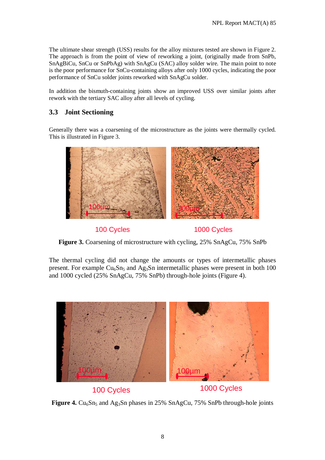The ultimate shear strength (USS) results for the alloy mixtures tested are shown in Figure 2. The approach is from the point of view of reworking a joint, (originally made from SnPb, SnAgBiCu, SnCu or SnPbAg) with SnAgCu (SAC) alloy solder wire. The main point to note is the poor performance for SnCu-containing alloys after only 1000 cycles, indicating the poor performance of SnCu solder joints reworked with SnAgCu solder.

In addition the bismuth-containing joints show an improved USS over similar joints after rework with the tertiary SAC alloy after all levels of cycling.

# **3.3 Joint Sectioning**

Generally there was a coarsening of the microstructure as the joints were thermally cycled. This is illustrated in Figure 3.



100 Cycles 1000 Cycles



The thermal cycling did not change the amounts or types of intermetallic phases present. For example  $Cu<sub>6</sub>Sn<sub>5</sub>$  and Ag<sub>3</sub>Sn intermetallic phases were present in both 100 and 1000 cycled (25% SnAgCu, 75% SnPb) through-hole joints (Figure 4).



**Figure 4.**  $Cu_6Sn_5$  and Ag<sub>3</sub>Sn phases in 25% SnAgCu, 75% SnPb through-hole joints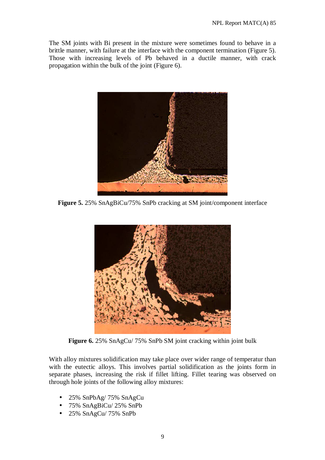The SM joints with Bi present in the mixture were sometimes found to behave in a brittle manner, with failure at the interface with the component termination (Figure 5). Those with increasing levels of Pb behaved in a ductile manner, with crack propagation within the bulk of the joint (Figure 6).



**Figure 5.** 25% SnAgBiCu/75% SnPb cracking at SM joint/component interface



**Figure 6.** 25% SnAgCu/ 75% SnPb SM joint cracking within joint bulk

With alloy mixtures solidification may take place over wider range of temperatur than with the eutectic alloys. This involves partial solidification as the joints form in separate phases, increasing the risk if fillet lifting. Fillet tearing was observed on through hole joints of the following alloy mixtures:

- 25% SnPbAg/ 75% SnAgCu
- 75% SnAgBiCu/ 25% SnPb
- 25% SnAgCu/ 75% SnPb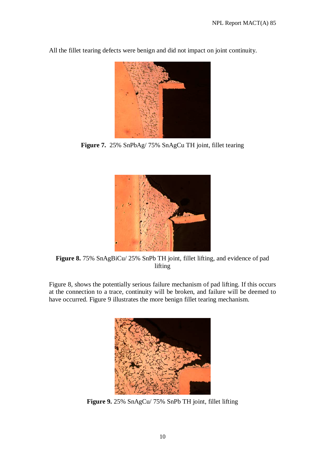All the fillet tearing defects were benign and did not impact on joint continuity.



**Figure 7.** 25% SnPbAg/ 75% SnAgCu TH joint, fillet tearing



**Figure 8.** 75% SnAgBiCu/ 25% SnPb TH joint, fillet lifting, and evidence of pad lifting

Figure 8, shows the potentially serious failure mechanism of pad lifting. If this occurs at the connection to a trace, continuity will be broken, and failure will be deemed to have occurred. Figure 9 illustrates the more benign fillet tearing mechanism.



**Figure 9.** 25% SnAgCu/ 75% SnPb TH joint, fillet lifting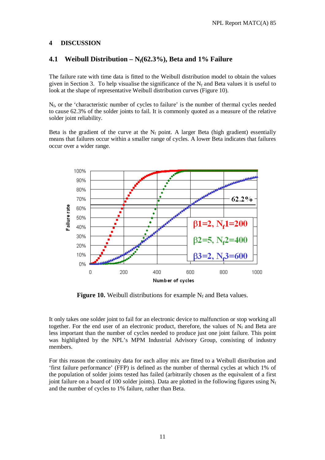#### **4 DISCUSSION**

## **4.1 Weibull Distribution – Nf(62.3%), Beta and 1% Failure**

The failure rate with time data is fitted to the Weibull distribution model to obtain the values given in Section 3. To help visualise the significance of the  $N_f$  and Beta values it is useful to look at the shape of representative Weibull distribution curves (Figure 10).

 $N_f$ , or the 'characteristic number of cycles to failure' is the number of thermal cycles needed to cause 62.3% of the solder joints to fail. It is commonly quoted as a measure of the relative solder joint reliability.

Beta is the gradient of the curve at the  $N_f$  point. A larger Beta (high gradient) essentially means that failures occur within a smaller range of cycles. A lower Beta indicates that failures occur over a wider range.



**Figure 10.** Weibull distributions for example  $N_f$  and Beta values.

It only takes one solder joint to fail for an electronic device to malfunction or stop working all together. For the end user of an electronic product, therefore, the values of  $N_f$  and Beta are less important than the number of cycles needed to produce just one joint failure. This point was highlighted by the NPL's MPM Industrial Advisory Group, consisting of industry members.

For this reason the continuity data for each alloy mix are fitted to a Weibull distribution and 'first failure performance' (FFP) is defined as the number of thermal cycles at which 1% of the population of solder joints tested has failed (arbitrarily chosen as the equivalent of a first joint failure on a board of 100 solder joints). Data are plotted in the following figures using  $N_f$ and the number of cycles to 1% failure, rather than Beta.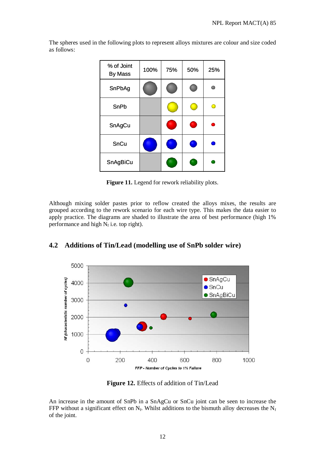The spheres used in the following plots to represent alloys mixtures are colour and size coded as follows:

| % of Joint<br><b>By Mass</b> | 100% | 75% | 50% | 25% |
|------------------------------|------|-----|-----|-----|
| SnPbAg                       |      |     |     |     |
| SnPb                         |      |     |     |     |
| SnAgCu                       |      |     | ٠   |     |
| SnCu                         |      |     | ٠   |     |
| SnAgBiCu                     |      |     |     |     |

**Figure 11.** Legend for rework reliability plots.

Although mixing solder pastes prior to reflow created the alloys mixes, the results are grouped according to the rework scenario for each wire type. This makes the data easier to apply practice. The diagrams are shaded to illustrate the area of best performance (high 1% performance and high  $N_f$  i.e. top right).



# **4.2 Additions of Tin/Lead (modelling use of SnPb solder wire)**

**Figure 12.** Effects of addition of Tin/Lead

An increase in the amount of SnPb in a SnAgCu or SnCu joint can be seen to increase the FFP without a significant effect on  $N_f$ . Whilst additions to the bismuth alloy decreases the  $N_f$ of the joint.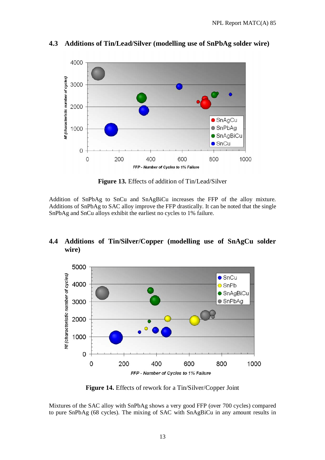

**4.3 Additions of Tin/Lead/Silver (modelling use of SnPbAg solder wire)** 

**Figure 13.** Effects of addition of Tin/Lead/Silver

Addition of SnPbAg to SnCu and SnAgBiCu increases the FFP of the alloy mixture. Additions of SnPbAg to SAC alloy improve the FFP drastically. It can be noted that the single SnPbAg and SnCu alloys exhibit the earliest no cycles to 1% failure.

# **4.4 Additions of Tin/Silver/Copper (modelling use of SnAgCu solder wire)**



**Figure 14.** Effects of rework for a Tin/Silver/Copper Joint

Mixtures of the SAC alloy with SnPbAg shows a very good FFP (over 700 cycles) compared to pure SnPbAg (68 cycles). The mixing of SAC with SnAgBiCu in any amount results in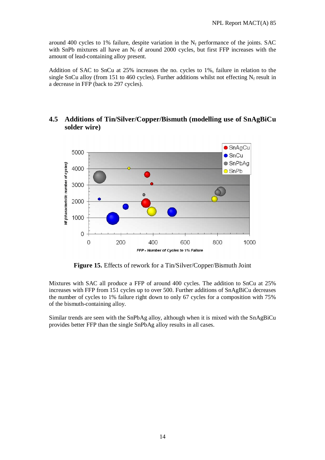around 400 cycles to 1% failure, despite variation in the  $N_f$  performance of the joints. SAC with SnPb mixtures all have an  $N_f$  of around 2000 cycles, but first FFP increases with the amount of lead-containing alloy present.

Addition of SAC to SnCu at 25% increases the no. cycles to 1%, failure in relation to the single SnCu alloy (from 151 to 460 cycles). Further additions whilst not effecting  $N_f$  result in a decrease in FFP (back to 297 cycles).

# **4.5 Additions of Tin/Silver/Copper/Bismuth (modelling use of SnAgBiCu solder wire)**



**Figure 15.** Effects of rework for a Tin/Silver/Copper/Bismuth Joint

Mixtures with SAC all produce a FFP of around 400 cycles. The addition to SnCu at 25% increases with FFP from 151 cycles up to over 500. Further additions of SnAgBiCu decreases the number of cycles to 1% failure right down to only 67 cycles for a composition with 75% of the bismuth-containing alloy.

Similar trends are seen with the SnPbAg alloy, although when it is mixed with the SnAgBiCu provides better FFP than the single SnPbAg alloy results in all cases.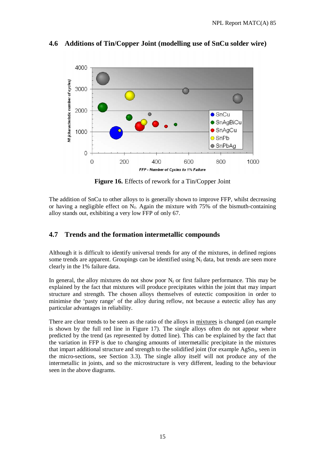

# **4.6 Additions of Tin/Copper Joint (modelling use of SnCu solder wire)**

**Figure 16.** Effects of rework for a Tin/Copper Joint

The addition of SnCu to other alloys to is generally shown to improve FFP, whilst decreasing or having a negligible effect on  $N_f$ . Again the mixture with 75% of the bismuth-containing alloy stands out, exhibiting a very low FFP of only 67.

## **4.7 Trends and the formation intermetallic compounds**

Although it is difficult to identify universal trends for any of the mixtures, in defined regions some trends are apparent. Groupings can be identified using  $N_f$  data, but trends are seen more clearly in the 1% failure data.

In general, the alloy mixtures do not show poor  $N_f$  or first failure performance. This may be explained by the fact that mixtures will produce precipitates within the joint that may impart structure and strength. The chosen alloys themselves of eutectic composition in order to minimise the 'pasty range' of the alloy during reflow, not because a eutectic alloy has any particular advantages in reliability.

There are clear trends to be seen as the ratio of the alloys in mixtures is changed (an example is shown by the full red line in Figure 17). The single alloys often do not appear where predicted by the trend (as represented by dotted line). This can be explained by the fact that the variation in FFP is due to changing amounts of intermetallic precipitate in the mixtures that impart additional structure and strength to the solidified joint (for example  $AgSn<sub>3</sub>$ , seen in the micro-sections, see Section 3.3). The single alloy itself will not produce any of the intermetallic in joints, and so the microstructure is very different, leading to the behaviour seen in the above diagrams.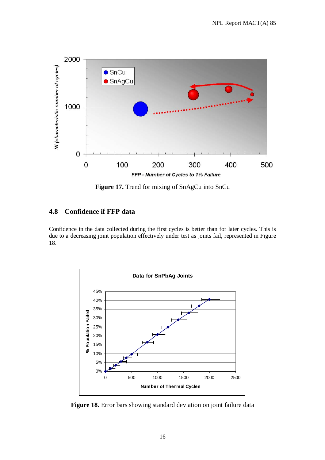

**Figure 17.** Trend for mixing of SnAgCu into SnCu

# **4.8 Confidence if FFP data**

Confidence in the data collected during the first cycles is better than for later cycles. This is due to a decreasing joint population effectively under test as joints fail, represented in Figure 18.



**Figure 18.** Error bars showing standard deviation on joint failure data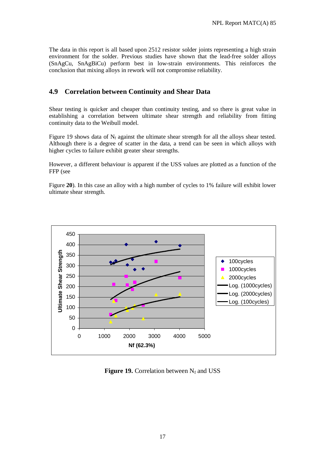The data in this report is all based upon 2512 resistor solder joints representing a high strain environment for the solder. Previous studies have shown that the lead-free solder alloys (SnAgCu, SnAgBiCu) perform best in low-strain environments. This reinforces the conclusion that mixing alloys in rework will not compromise reliability.

# **4.9 Correlation between Continuity and Shear Data**

Shear testing is quicker and cheaper than continuity testing, and so there is great value in establishing a correlation between ultimate shear strength and reliability from fitting continuity data to the Weibull model.

Figure 19 shows data of  $N_f$  against the ultimate shear strength for all the alloys shear tested. Although there is a degree of scatter in the data, a trend can be seen in which alloys with higher cycles to failure exhibit greater shear strengths.

However, a different behaviour is apparent if the USS values are plotted as a function of the FFP (see

Figure **20**). In this case an alloy with a high number of cycles to 1% failure will exhibit lower ultimate shear strength.



**Figure 19.** Correlation between  $N_f$  and USS